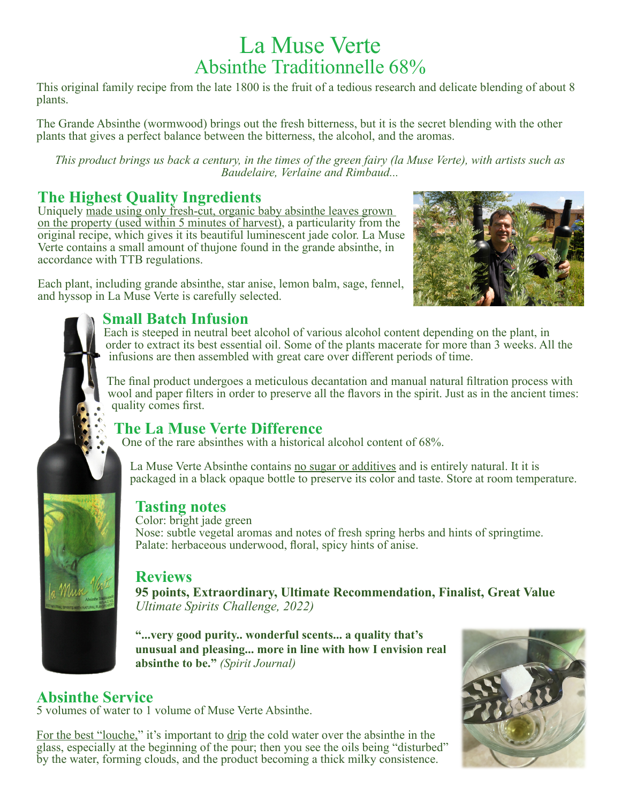# La Muse Verte Absinthe Traditionnelle 68%

This original family recipe from the late 1800 is the fruit of a tedious research and delicate blending of about 8 plants.

The Grande Absinthe (wormwood) brings out the fresh bitterness, but it is the secret blending with the other plants that gives a perfect balance between the bitterness, the alcohol, and the aromas.

*This product brings us back a century, in the times of the green fairy (la Muse Verte), with artists such as Baudelaire, Verlaine and Rimbaud...*

### **The Highest Quality Ingredients**

Uniquely made using only fresh-cut, organic baby absinthe leaves grown on the property (used within 5 minutes of harvest), a particularity from the original recipe, which gives it its beautiful luminescent jade color. La Muse Verte contains a small amount of thujone found in the grande absinthe, in accordance with TTB regulations.

Each plant, including grande absinthe, star anise, lemon balm, sage, fennel, and hyssop in La Muse Verte is carefully selected.



### **Small Batch Infusion**

Each is steeped in neutral beet alcohol of various alcohol content depending on the plant, in order to extract its best essential oil. Some of the plants macerate for more than 3 weeks. All the infusions are then assembled with great care over different periods of time.

The final product undergoes a meticulous decantation and manual natural filtration process with wool and paper filters in order to preserve all the flavors in the spirit. Just as in the ancient times: quality comes first.

### **The La Muse Verte Difference**

One of the rare absinthes with a historical alcohol content of 68%.

La Muse Verte Absinthe contains no sugar or additives and is entirely natural. It it is packaged in a black opaque bottle to preserve its color and taste. Store at room temperature.

### **Tasting notes**

Color: bright jade green Nose: subtle vegetal aromas and notes of fresh spring herbs and hints of springtime. Palate: herbaceous underwood, floral, spicy hints of anise.

### **Reviews**

**95 points, Extraordinary, Ultimate Recommendation, Finalist, Great Value**  *Ultimate Spirits Challenge, 2022)*

**"...very good purity.. wonderful scents... a quality that's unusual and pleasing... more in line with how I envision real absinthe to be."** *(Spirit Journal)*

### **Absinthe Service**

5 volumes of water to 1 volume of Muse Verte Absinthe.

For the best "louche," it's important to drip the cold water over the absinthe in the glass, especially at the beginning of the pour; then you see the oils being "disturbed" by the water, forming clouds, and the product becoming a thick milky consistence.